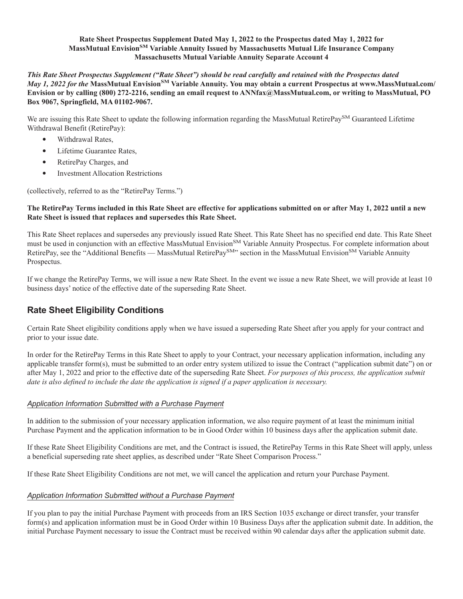### **Rate Sheet Prospectus Supplement Dated May 1, 2022 to the Prospectus dated May 1, 2022 for MassMutual EnvisionSM Variable Annuity Issued by Massachusetts Mutual Life Insurance Company Massachusetts Mutual Variable Annuity Separate Account 4**

*This Rate Sheet Prospectus Supplement ("Rate Sheet") should be read carefully and retained with the Prospectus dated May 1, 2022 for the* **MassMutual EnvisionSM Variable Annuity. You may obtain a current Prospectus at www.MassMutual.com/ Envision or by calling (800) 272-2216, sending an email request to ANNfax@MassMutual.com, or writing to MassMutual, PO Box 9067, Springfield, MA 01102-9067.**

We are issuing this Rate Sheet to update the following information regarding the MassMutual RetirePay<sup>SM</sup> Guaranteed Lifetime Withdrawal Benefit (RetirePay):

- 
- 
- 
- Withdrawal Rates,<br>• Lifetime Guarantee Rates,<br>• RetirePay Charges, and<br>• Investment Allocation Restrictions

(collectively, referred to as the "RetirePay Terms.")

### **The RetirePay Terms included in this Rate Sheet are effective for applications submitted on or after May 1, 2022 until a new Rate Sheet is issued that replaces and supersedes this Rate Sheet.**

This Rate Sheet replaces and supersedes any previously issued Rate Sheet. This Rate Sheet has no specified end date. This Rate Sheet must be used in conjunction with an effective MassMutual Envision<sup>SM</sup> Variable Annuity Prospectus. For complete information about RetirePay, see the "Additional Benefits — MassMutual RetirePay<sup>SM</sup>" section in the MassMutual Envision<sup>SM</sup> Variable Annuity Prospectus.

If we change the RetirePay Terms, we will issue a new Rate Sheet. In the event we issue a new Rate Sheet, we will provide at least 10 business days' notice of the effective date of the superseding Rate Sheet.

# **Rate Sheet Eligibility Conditions**

Certain Rate Sheet eligibility conditions apply when we have issued a superseding Rate Sheet after you apply for your contract and prior to your issue date.

In order for the RetirePay Terms in this Rate Sheet to apply to your Contract, your necessary application information, including any applicable transfer form(s), must be submitted to an order entry system utilized to issue the Contract ("application submit date") on or after May 1, 2022 and prior to the effective date of the superseding Rate Sheet. *For purposes of this process, the application submit date is also defined to include the date the application is signed if a paper application is necessary.*

## *Application Information Submitted with a Purchase Payment*

In addition to the submission of your necessary application information, we also require payment of at least the minimum initial Purchase Payment and the application information to be in Good Order within 10 business days after the application submit date.

If these Rate Sheet Eligibility Conditions are met, and the Contract is issued, the RetirePay Terms in this Rate Sheet will apply, unless a beneficial superseding rate sheet applies, as described under "Rate Sheet Comparison Process."

If these Rate Sheet Eligibility Conditions are not met, we will cancel the application and return your Purchase Payment.

### *Application Information Submitted without a Purchase Payment*

If you plan to pay the initial Purchase Payment with proceeds from an IRS Section 1035 exchange or direct transfer, your transfer form(s) and application information must be in Good Order within 10 Business Days after the application submit date. In addition, the initial Purchase Payment necessary to issue the Contract must be received within 90 calendar days after the application submit date.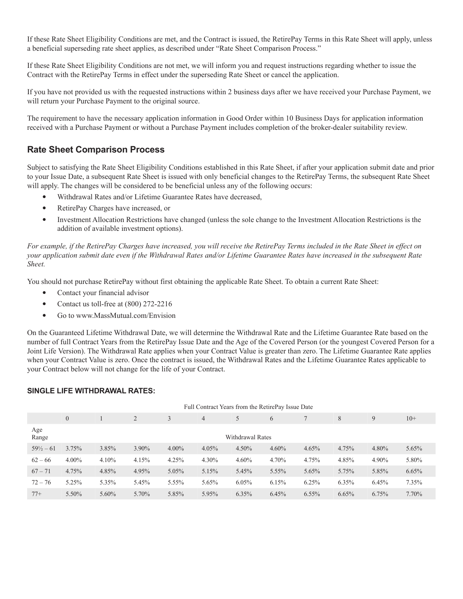If these Rate Sheet Eligibility Conditions are met, and the Contract is issued, the RetirePay Terms in this Rate Sheet will apply, unless a beneficial superseding rate sheet applies, as described under "Rate Sheet Comparison Process."

If these Rate Sheet Eligibility Conditions are not met, we will inform you and request instructions regarding whether to issue the Contract with the RetirePay Terms in effect under the superseding Rate Sheet or cancel the application.

If you have not provided us with the requested instructions within 2 business days after we have received your Purchase Payment, we will return your Purchase Payment to the original source.

The requirement to have the necessary application information in Good Order within 10 Business Days for application information received with a Purchase Payment or without a Purchase Payment includes completion of the broker-dealer suitability review.

# **Rate Sheet Comparison Process**

Subject to satisfying the Rate Sheet Eligibility Conditions established in this Rate Sheet, if after your application submit date and prior to your Issue Date, a subsequent Rate Sheet is issued with only beneficial changes to the RetirePay Terms, the subsequent Rate Sheet will apply. The changes will be considered to be beneficial unless any of the following occurs:

- 
- 
- Withdrawal Rates and/or Lifetime Guarantee Rates have decreased,<br>• RetirePay Charges have increased, or<br>• Investment Allocation Restrictions have changed (unless the sole change to the Investment Allocation Restrictions addition of available investment options).

*For example, if the RetirePay Charges have increased, you will receive the RetirePay Terms included in the Rate Sheet in effect on your application submit date even if the Withdrawal Rates and/or Lifetime Guarantee Rates have increased in the subsequent Rate Sheet.*

You should not purchase RetirePay without first obtaining the applicable Rate Sheet. To obtain a current Rate Sheet:

- 
- Contact your financial advisor<br>• Contact us toll-free at (800) 272-2216<br>• Go to www.MassMutual.com/Envision
- 

On the Guaranteed Lifetime Withdrawal Date, we will determine the Withdrawal Rate and the Lifetime Guarantee Rate based on the number of full Contract Years from the RetirePay Issue Date and the Age of the Covered Person (or the youngest Covered Person for a Joint Life Version). The Withdrawal Rate applies when your Contract Value is greater than zero. The Lifetime Guarantee Rate applies when your Contract Value is zero. Once the contract is issued, the Withdrawal Rates and the Lifetime Guarantee Rates applicable to your Contract below will not change for the life of your Contract.

### **SINGLE LIFE WITHDRAWAL RATES:**

|                      | Full Contract Years from the RetirePay Issue Date |       |       |          |                |                  |          |          |       |       |       |
|----------------------|---------------------------------------------------|-------|-------|----------|----------------|------------------|----------|----------|-------|-------|-------|
|                      | $\overline{0}$                                    |       | 2     |          | $\overline{4}$ | 5                | 6        |          | 8     | 9     | $10+$ |
| Age<br>Range         |                                                   |       |       |          |                | Withdrawal Rates |          |          |       |       |       |
| $59\frac{1}{2} - 61$ | 3.75%                                             | 3.85% | 3.90% | $4.00\%$ | 4.05%          | $4.50\%$         | $4.60\%$ | 4.65%    | 4.75% | 4.80% | 5.65% |
| $62 - 66$            | 4.00%                                             | 4.10% | 4.15% | 4.25%    | $4.30\%$       | 4.60%            | 4.70%    | 4.75%    | 4.85% | 4.90% | 5.80% |
| $67 - 71$            | 4.75%                                             | 4.85% | 4.95% | 5.05%    | 5.15%          | 5.45%            | 5.55%    | 5.65%    | 5.75% | 5.85% | 6.65% |
| $72 - 76$            | 5.25%                                             | 5.35% | 5.45% | 5.55%    | 5.65%          | 6.05%            | 6.15%    | 6.25%    | 6.35% | 6.45% | 7.35% |
| $77+$                | 5.50%                                             | 5.60% | 5.70% | 5.85%    | 5.95%          | 6.35%            | 6.45%    | $6.55\%$ | 6.65% | 6.75% | 7.70% |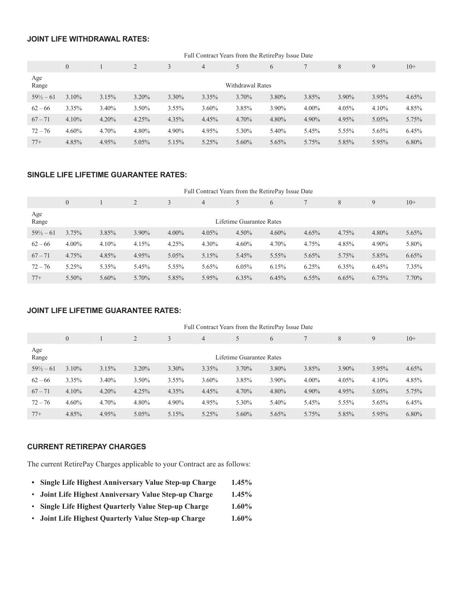# **JOINT LIFE WITHDRAWAL RATES:**

|                      | Full Contract Years from the RetirePay Issue Date |       |                |          |                |                  |       |          |       |          |          |
|----------------------|---------------------------------------------------|-------|----------------|----------|----------------|------------------|-------|----------|-------|----------|----------|
|                      | $\overline{0}$                                    |       | $\overline{2}$ |          | $\overline{4}$ |                  | 6     |          | 8     | 9        | $10+$    |
| Age<br>Range         |                                                   |       |                |          |                | Withdrawal Rates |       |          |       |          |          |
| $59\frac{1}{2} - 61$ | 3.10%                                             | 3.15% | $3.20\%$       | $3.30\%$ | 3.35%          | 3.70%            | 3.80% | 3.85%    | 3.90% | 3.95%    | 4.65%    |
| $62 - 66$            | 3.35%                                             | 3.40% | 3.50%          | $3.55\%$ | 3.60%          | 3.85%            | 3.90% | $4.00\%$ | 4.05% | $4.10\%$ | 4.85%    |
| $67 - 71$            | 4.10%                                             | 4.20% | 4.25%          | 4.35%    | 4.45%          | 4.70%            | 4.80% | 4.90%    | 4.95% | 5.05%    | 5.75%    |
| $72 - 76$            | 4.60%                                             | 4.70% | 4.80%          | 4.90%    | 4.95%          | 5.30%            | 5.40% | 5.45%    | 5.55% | 5.65%    | 6.45%    |
| $77+$                | 4.85%                                             | 4.95% | 5.05%          | 5.15%    | 5.25%          | 5.60%            | 5.65% | 5.75%    | 5.85% | 5.95%    | $6.80\%$ |

## **SINGLE LIFE LIFETIME GUARANTEE RATES:**

|                      | Full Contract Years from the RetirePay Issue Date |          |       |          |                |                          |       |          |          |       |       |
|----------------------|---------------------------------------------------|----------|-------|----------|----------------|--------------------------|-------|----------|----------|-------|-------|
|                      | $\overline{0}$                                    |          | 2     | 3        | $\overline{4}$ | 5                        | 6     |          | 8        | 9     | $10+$ |
| Age<br>Range         |                                                   |          |       |          |                | Lifetime Guarantee Rates |       |          |          |       |       |
| $59\frac{1}{2} - 61$ | 3.75%                                             | 3.85%    | 3.90% | $4.00\%$ | 4.05%          | 4.50%                    | 4.60% | 4.65%    | 4.75%    | 4.80% | 5.65% |
| $62 - 66$            | $4.00\%$                                          | 4.10%    | 4.15% | 4.25%    | 4.30%          | 4.60%                    | 4.70% | 4.75%    | 4.85%    | 4.90% | 5.80% |
| $67 - 71$            | 4.75%                                             | 4.85%    | 4.95% | 5.05%    | 5.15%          | 5.45%                    | 5.55% | 5.65%    | 5.75%    | 5.85% | 6.65% |
| $72 - 76$            | 5.25%                                             | 5.35%    | 5.45% | 5.55%    | 5.65%          | 6.05%                    | 6.15% | 6.25%    | $6.35\%$ | 6.45% | 7.35% |
| $77+$                | 5.50%                                             | $5.60\%$ | 5.70% | 5.85%    | 5.95%          | 6.35%                    | 6.45% | $6.55\%$ | 6.65%    | 6.75% | 7.70% |

### **JOINT LIFE LIFETIME GUARANTEE RATES:**

|                      | Full Contract Years from the RetirePay Issue Date |       |          |          |                |                          |          |          |       |       |          |
|----------------------|---------------------------------------------------|-------|----------|----------|----------------|--------------------------|----------|----------|-------|-------|----------|
|                      | $\overline{0}$                                    |       | 2        | 3        | $\overline{4}$ | 5                        | 6        |          | 8     | 9     | $10+$    |
| Age<br>Range         |                                                   |       |          |          |                | Lifetime Guarantee Rates |          |          |       |       |          |
| $59\frac{1}{2} - 61$ | 3.10%                                             | 3.15% | $3.20\%$ | $3.30\%$ | 3.35%          | 3.70%                    | 3.80%    | 3.85%    | 3.90% | 3.95% | 4.65%    |
| $62 - 66$            | 3.35%                                             | 3.40% | $3.50\%$ | $3.55\%$ | $3.60\%$       | 3.85%                    | 3.90%    | $4.00\%$ | 4.05% | 4.10% | 4.85%    |
| $67 - 71$            | 4.10%                                             | 4.20% | 4.25%    | 4.35%    | 4.45%          | 4.70%                    | 4.80%    | 4.90%    | 4.95% | 5.05% | 5.75%    |
| $72 - 76$            | 4.60%                                             | 4.70% | 4.80%    | 4.90%    | 4.95%          | 5.30%                    | 5.40%    | 5.45%    | 5.55% | 5.65% | 6.45%    |
| $77+$                | 4.85%                                             | 4.95% | 5.05%    | 5.15%    | 5.25%          | $5.60\%$                 | $5.65\%$ | 5.75%    | 5.85% | 5.95% | $6.80\%$ |

## **CURRENT RETIREPAY CHARGES**

The current RetirePay Charges applicable to your Contract are as follows:

- **• Single Life Highest Anniversary Value Step-up Charge 1.45%**
- **Joint Life Highest Anniversary Value Step-up Charge 1.45%**
- **Single Life Highest Quarterly Value Step-up Charge 1.60%**
- **Joint Life Highest Quarterly Value Step-up Charge 1.60%**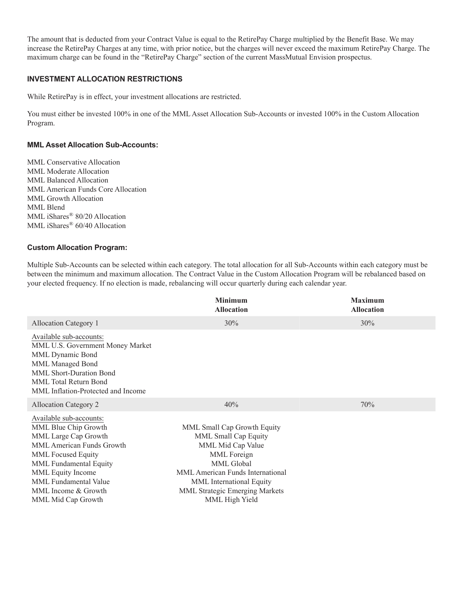The amount that is deducted from your Contract Value is equal to the RetirePay Charge multiplied by the Benefit Base. We may increase the RetirePay Charges at any time, with prior notice, but the charges will never exceed the maximum RetirePay Charge. The maximum charge can be found in the "RetirePay Charge" section of the current MassMutual Envision prospectus.

### **INVESTMENT ALLOCATION RESTRICTIONS**

While RetirePay is in effect, your investment allocations are restricted.

You must either be invested 100% in one of the MML Asset Allocation Sub-Accounts or invested 100% in the Custom Allocation Program.

### **MML Asset Allocation Sub-Accounts:**

MML Conservative Allocation MML Moderate Allocation MML Balanced Allocation MML American Funds Core Allocation MML Growth Allocation MML Blend MML iShares® 80/20 Allocation MML iShares® 60/40 Allocation

### **Custom Allocation Program:**

Multiple Sub-Accounts can be selected within each category. The total allocation for all Sub-Accounts within each category must be between the minimum and maximum allocation. The Contract Value in the Custom Allocation Program will be rebalanced based on your elected frequency. If no election is made, rebalancing will occur quarterly during each calendar year.

|                                                                                                                                                                                                                                                               | <b>Minimum</b><br><b>Allocation</b>                                                                                                                                                                                              | <b>Maximum</b><br><b>Allocation</b> |
|---------------------------------------------------------------------------------------------------------------------------------------------------------------------------------------------------------------------------------------------------------------|----------------------------------------------------------------------------------------------------------------------------------------------------------------------------------------------------------------------------------|-------------------------------------|
| Allocation Category 1                                                                                                                                                                                                                                         | 30%                                                                                                                                                                                                                              | 30%                                 |
| Available sub-accounts:<br>MML U.S. Government Money Market<br>MML Dynamic Bond<br><b>MML Managed Bond</b><br>MML Short-Duration Bond<br><b>MML</b> Total Return Bond<br>MML Inflation-Protected and Income                                                   |                                                                                                                                                                                                                                  |                                     |
| <b>Allocation Category 2</b>                                                                                                                                                                                                                                  | 40%                                                                                                                                                                                                                              | 70%                                 |
| Available sub-accounts:<br>MML Blue Chip Growth<br>MML Large Cap Growth<br>MML American Funds Growth<br><b>MML</b> Focused Equity<br>MML Fundamental Equity<br>MML Equity Income<br><b>MML</b> Fundamental Value<br>MML Income & Growth<br>MML Mid Cap Growth | MML Small Cap Growth Equity<br>MML Small Cap Equity<br>MML Mid Cap Value<br>MML Foreign<br>MML Global<br>MML American Funds International<br>MML International Equity<br><b>MML Strategic Emerging Markets</b><br>MML High Yield |                                     |